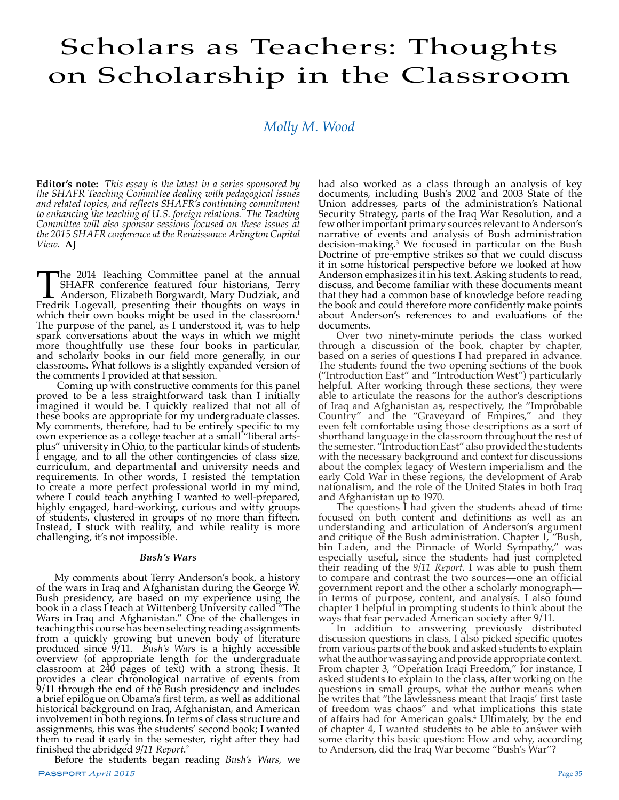# Scholars as Teachers: Thoughts on Scholarship in the Classroom

*Molly M. Wood*

**Editor's note:** *This essay is the latest in a series sponsored by the SHAFR Teaching Committee dealing with pedagogical issues and related topics, and reflects SHAFR's continuing commitment to enhancing the teaching of U.S. foreign relations. The Teaching Committee will also sponsor sessions focused on these issues at the 2015 SHAFR conference at the Renaissance Arlington Capital View.* **AJ** 

The 2014 Teaching Committee panel at the annual SHAFR conference featured four historians, Terry Anderson, Elizabeth Borgwardt, Mary Dudziak, and Fredrik Logevall, presenting their thoughts on ways in SHAFR conference featured four historians, Terry Anderson, Elizabeth Borgwardt, Mary Dudziak, and which their own books might be used in the classroom.<sup>1</sup> The purpose of the panel, as I understood it, was to help spark conversations about the ways in which we might more thoughtfully use these four books in particular, and scholarly books in our field more generally, in our classrooms. What follows is a slightly expanded version of the comments I provided at that session.

 Coming up with constructive comments for this panel proved to be a less straightforward task than I initially imagined it would be. I quickly realized that not all of these books are appropriate for my undergraduate classes. My comments, therefore, had to be entirely specific to my own experience as a college teacher at a small "liberal artsplus" university in Ohio, to the particular kinds of students I engage, and to all the other contingencies of class size, curriculum, and departmental and university needs and requirements. In other words, I resisted the temptation to create a more perfect professional world in my mind, where I could teach anything I wanted to well-prepared, highly engaged, hard-working, curious and witty groups of students, clustered in groups of no more than fifteen. Instead, I stuck with reality, and while reality is more challenging, it's not impossible.

### *Bush's Wars*

My comments about Terry Anderson's book, a history of the wars in Iraq and Afghanistan during the George W. Bush presidency, are based on my experience using the book in a class I teach at Wittenberg University called "The Wars in Iraq and Afghanistan." One of the challenges in teaching this course has been selecting reading assignments from a quickly growing but uneven body of literature produced since  $9/11$ . Bush's Wars is a highly accessible overview (of appropriate length for the undergraduate classroom at 240 pages of text) with a strong thesis. It provides a clear chronological narrative of events from 9/11 through the end of the Bush presidency and includes a brief epilogue on Obama's first term, as well as additional historical background on Iraq, Afghanistan, and American involvement in both regions. In terms of class structure and assignments, this was the students' second book; I wanted them to read it early in the semester, right after they had finished the abridged *9/11 Report*. 2

Before the students began reading *Bush's Wars,* we

had also worked as a class through an analysis of key documents, including Bush's 2002 and 2003 State of the Union addresses, parts of the administration's National Security Strategy, parts of the Iraq War Resolution, and a few other important primary sources relevant to Anderson's narrative of events and analysis of Bush administration decision-making.3 We focused in particular on the Bush Doctrine of pre-emptive strikes so that we could discuss it in some historical perspective before we looked at how Anderson emphasizes it in his text. Asking students to read, discuss, and become familiar with these documents meant that they had a common base of knowledge before reading the book and could therefore more confidently make points about Anderson's references to and evaluations of the documents.

Over two ninety-minute periods the class worked through a discussion of the book, chapter by chapter, based on a series of questions I had prepared in advance. The students found the two opening sections of the book ("Introduction East" and "Introduction West") particularly helpful. After working through these sections, they were able to articulate the reasons for the author's descriptions of Iraq and Afghanistan as, respectively, the "Improbable Country" and the "Graveyard of Empires," and they even felt comfortable using those descriptions as a sort of shorthand language in the classroom throughout the rest of the semester. "Introduction East" also provided the students with the necessary background and context for discussions about the complex legacy of Western imperialism and the early Cold War in these regions, the development of Arab nationalism, and the role of the United States in both Iraq and Afghanistan up to 1970.

The questions I had given the students ahead of time focused on both content and definitions as well as an understanding and articulation of Anderson's argument and critique of the Bush administration. Chapter 1, "Bush, bin Laden, and the Pinnacle of World Sympathy," was especially useful, since the students had just completed their reading of the *9/11 Report.* I was able to push them to compare and contrast the two sources—one an official government report and the other a scholarly monograph in terms of purpose, content, and analysis. I also found chapter 1 helpful in prompting students to think about the ways that fear pervaded American society after 9/11.

In addition to answering previously distributed discussion questions in class, I also picked specific quotes from various parts of the book and asked students to explain what the author was saying and provide appropriate context. From chapter 3, "Operation Iraqi Freedom," for instance, I asked students to explain to the class, after working on the questions in small groups, what the author means when he writes that "the lawlessness meant that Iraqis' first taste of freedom was chaos" and what implications this state of affairs had for American goals.<sup>4</sup> Ultimately, by the end of chapter 4, I wanted students to be able to answer with some clarity this basic question: How and why, according to Anderson, did the Iraq War become "Bush's War"?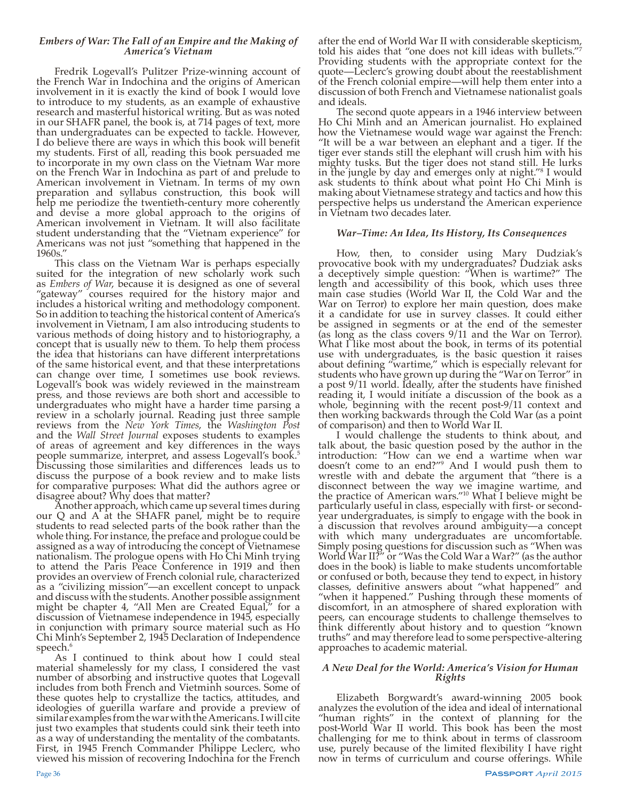## *Embers of War: The Fall of an Empire and the Making of America's Vietnam*

Fredrik Logevall's Pulitzer Prize-winning account of the French War in Indochina and the origins of American involvement in it is exactly the kind of book I would love to introduce to my students, as an example of exhaustive research and masterful historical writing. But as was noted in our SHAFR panel, the book is, at 714 pages of text, more than undergraduates can be expected to tackle. However, I do believe there are ways in which this book will benefit my students. First of all, reading this book persuaded me to incorporate in my own class on the Vietnam War more on the French War in Indochina as part of and prelude to American involvement in Vietnam. In terms of my own preparation and syllabus construction, this book will help me periodize the twentieth-century more coherently and devise a more global approach to the origins of American involvement in Vietnam. It will also facilitate student understanding that the "Vietnam experience" for Americans was not just "something that happened in the 1960s."

This class on the Vietnam War is perhaps especially suited for the integration of new scholarly work such as *Embers of War*, because it is designed as one of several "gateway" courses required for the history major and includes a historical writing and methodology component. So in addition to teaching the historical content of America's involvement in Vietnam, I am also introducing students to various methods of doing history and to historiography, a concept that is usually new to them. To help them process the idea that historians can have different interpretations of the same historical event, and that these interpretations can change over time, I sometimes use book reviews. Logevall's book was widely reviewed in the mainstream press, and those reviews are both short and accessible to undergraduates who might have a harder time parsing a review in a scholarly journal. Reading just three sample reviews from the *New York Times*, the *Washington Post* and the *Wall Street Journal* exposes students to examples of areas of agreement and key differences in the ways people summarize, interpret, and assess Logevall's book.5 Discussing those similarities and differences leads us to discuss the purpose of a book review and to make lists for comparative purposes: What did the authors agree or

disagree about? Why does that matter? Another approach, which came up several times during our Q and A at the SHAFR panel, might be to require students to read selected parts of the book rather than the whole thing. For instance, the preface and prologue could be assigned as a way of introducing the concept of Vietnamese nationalism. The prologue opens with Ho Chi Minh trying to attend the Paris Peace Conference in 1919 and then provides an overview of French colonial rule, characterized as a "civilizing mission"—an excellent concept to unpack and discuss with the students. Another possible assignment might be chapter 4, "All Men are Created Equal," for a discussion of Vietnamese independence in 1945, especially in conjunction with primary source material such as Ho Chi Minh's September 2, 1945 Declaration of Independence speech.<sup>6</sup>

As I continued to think about how I could steal material shamelessly for my class, I considered the vast number of absorbing and instructive quotes that Logevall includes from both French and Vietminh sources. Some of these quotes help to crystallize the tactics, attitudes, and ideologies of guerilla warfare and provide a preview of similar examples from the war with the Americans. I will cite just two examples that students could sink their teeth into as a way of understanding the mentality of the combatants. First, in 1945 French Commander Philippe Leclerc, who viewed his mission of recovering Indochina for the French after the end of World War II with considerable skepticism, told his aides that "one does not kill ideas with bullets." Providing students with the appropriate context for the quote—Leclerc's growing doubt about the reestablishment of the French colonial empire—will help them enter into a discussion of both French and Vietnamese nationalist goals and ideals.

The second quote appears in a 1946 interview between Ho Chi Minh and an American journalist. Ho explained how the Vietnamese would wage war against the French: "It will be a war between an elephant and a tiger. If the tiger ever stands still the elephant will crush him with his mighty tusks. But the tiger does not stand still. He lurks in the jungle by day and emerges only at night."8 I would ask students to think about what point Ho Chi Minh is making about Vietnamese strategy and tactics and how this perspective helps us understand the American experience in Vietnam two decades later.

## *War–Time: An Idea, Its History, Its Consequences*

How, then, to consider using Mary Dudziak's provocative book with my undergraduates? Dudziak asks a deceptively simple question: "When is wartime?" The length and accessibility of this book, which uses three main case studies (World War II, the Cold War and the War on Terror) to explore her main question, does make it a candidate for use in survey classes. It could either be assigned in segments or at the end of the semester (as long as the class covers 9/11 and the War on Terror). What I like most about the book, in terms of its potential use with undergraduates, is the basic question it raises about defining "wartime," which is especially relevant for students who have grown up during the "War on Terror" in a post 9/11 world. Ideally, after the students have finished reading it, I would initiate a discussion of the book as a whole, beginning with the recent post-9/11 context and then working backwards through the Cold War (as a point of comparison) and then to World War II.

I would challenge the students to think about, and talk about, the basic question posed by the author in the introduction: "How can we end a wartime when war doesn't come to an end?"9 And I would push them to wrestle with and debate the argument that "there is a disconnect between the way we imagine wartime, and the practice of American wars."<sup>10</sup> What I believe might be particularly useful in class, especially with first- or secondyear undergraduates, is simply to engage with the book in a discussion that revolves around ambiguity—a concept with which many undergraduates are uncomfortable. Simply posing questions for discussion such as "When was World War II?" or "Was the Cold War a War?" (as the author does in the book) is liable to make students uncomfortable or confused or both, because they tend to expect, in history classes, definitive answers about "what happened" and "when it happened." Pushing through these moments of discomfort, in an atmosphere of shared exploration with peers, can encourage students to challenge themselves to think differently about history and to question "known truths" and may therefore lead to some perspective-altering approaches to academic material.

## *A New Deal for the World: America's Vision for Human Rights*

Elizabeth Borgwardt's award-winning 2005 book analyzes the evolution of the idea and ideal of international "human rights" in the context of planning for the post-World War II world. This book has been the most challenging for me to think about in terms of classroom use, purely because of the limited flexibility I have right now in terms of curriculum and course offerings. While